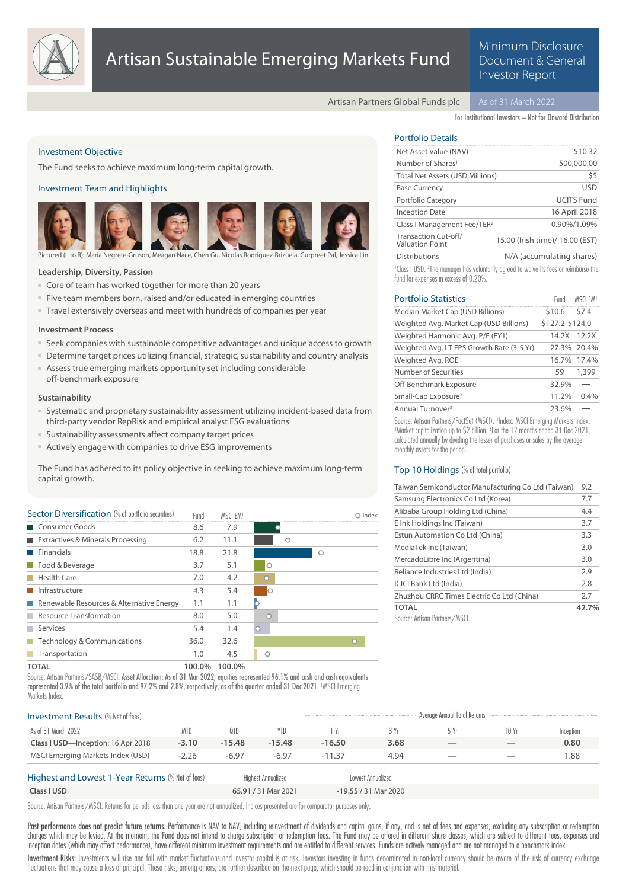

# Artisan Sustainable Emerging Markets Fund

### Minimum Disclosure Document & General Investor Report

Artisan Partners Global Funds plc

For Institutional Investors – Not for Onward Distribution

#### Investment Objective

The Fund seeks to achieve maximum long-term capital growth.

#### Investment Team and Highlights



Pictured (L to R): Maria Negrete-Gruson, Meagan Nace, Chen Gu, Nicolas Rodriguez-Brizuela, Gurpreet Pal, Jessica Lin

#### **Leadership, Diversity, Passion**

- Core of team has worked together for more than 20 years
- Five team members born, raised and/or educated in emerging countries
- Travel extensively overseas and meet with hundreds of companies per year

#### **Investment Process**

- Seek companies with sustainable competitive advantages and unique access to growth
- Determine target prices utilizing financial, strategic, sustainability and country analysis
- Assess true emerging markets opportunity set including considerable off-benchmark exposure

#### **Sustainability**

- Systematic and proprietary sustainability assessment utilizing incident-based data from third-party vendor RepRisk and empirical analyst ESG evaluations
- Sustainability assessments affect company target prices
- Actively engage with companies to drive ESG improvements

The Fund has adhered to its policy objective in seeking to achieve maximum long-term capital growth.

| Sector Diversification (% of portfolio securities) | Fund | MSCI FM1 |         |   | ○ Index |
|----------------------------------------------------|------|----------|---------|---|---------|
| Consumer Goods                                     | 8.6  | 7.9      |         |   |         |
| Extractives & Minerals Processing                  | 6.2  | 11.1     |         |   |         |
| Financials                                         | 18.8 | 21.8     |         | Ω |         |
| Food & Beverage                                    | 3.7  | 5.1      | Ο       |   |         |
| <b>Health Care</b>                                 | 7.0  | 4.2      | O       |   |         |
| Infrastructure                                     | 4.3  | 5.4      | lO      |   |         |
| Renewable Resources & Alternative Energy           | 1.1  | 1.1      |         |   |         |
| Resource Transformation                            | 8.0  | 5.0      |         |   |         |
| Services                                           | 5.4  | 1.4      | $\circ$ |   |         |
| $\blacksquare$ Technology & Communications         | 36.0 | 32.6     |         |   | O       |
| <b>Transportation</b>                              | 1.0  | 4.5      | Ο       |   |         |
|                                                    |      |          |         |   |         |

**TOTAL 100.0% 100.0%**

Source: Artisan Partners/SASB/MSCI. Asset Allocation: As of 31 Mar 2022, equities represented 96.1% and cash and cash equivalents represented 3.9% of the total portfolio and 97.2% and 2.8%, respectively, as of the quarter ended 31 Dec 2021. <sup>1</sup>MSCI Emerging Markets Index.

| <b>Investment Results (% Net of fees)</b>         |            |          |                           |          |                      | Average Annual Total Returns |       |           |
|---------------------------------------------------|------------|----------|---------------------------|----------|----------------------|------------------------------|-------|-----------|
| As of 31 March 2022                               | <b>MTD</b> | 0TD      | YTD.                      | 1 Yr     | 3 Yr                 | 5 Yr                         | 10 Yr | Inception |
| Class I USD-Inception: 16 Apr 2018                | $-3.10$    | $-15.48$ | $-15.48$                  | $-16.50$ | 3.68                 |                              |       | 0.80      |
| MSCI Emerging Markets Index (USD)                 | $-2.26$    | $-6.97$  | $-6.97$                   | $-11.37$ | 4.94                 | __                           |       | .88       |
| Highest and Lowest 1-Year Returns (% Net of fees) |            |          | <b>Highest Annualized</b> |          | Lowest Annualized    |                              |       |           |
| Class I USD                                       |            |          | 65.91 / 31 Mar 2021       |          | -19.55 / 31 Mar 2020 |                              |       |           |

Source: Artisan Partners/MSCI. Returns for periods less than one year are not annualized. Indices presented are for comparator purposes only.

Past performance does not predict future returns. Performance is NAV to NAV, including reinvestment of dividends and capital gains, if any, and is net of fees and expenses, excluding any subscription or redemption charges which may be levied. At the moment, the Fund does not intend to charge subscription or redemption fees. The Fund may be offered in different share classes, which are subject to different fees, expenses and inception dates (which may affect performance), have different minimum investment requirements and are entitled to different services. Funds are actively managed and are not managed to a benchmark index.

Investment Risks: Investments will rise and fall with market fluctuations and investor capital is at risk. Investors investing in funds denominated in non-local currency should be aware of the risk of currency exchange fluctuations that may cause a loss of principal. These risks, among others, are further described on the next page, which should be read in conjunction with this material.

### Portfolio Details

| Net Asset Value (NAV) <sup>1</sup>             | \$10.32                         |
|------------------------------------------------|---------------------------------|
| Number of Shares <sup>1</sup>                  | 500,000.00                      |
| <b>Total Net Assets (USD Millions)</b>         | \$5                             |
| <b>Base Currency</b>                           | <b>USD</b>                      |
| Portfolio Category                             | <b>UCITS Fund</b>               |
| <b>Inception Date</b>                          | 16 April 2018                   |
| Class I Management Fee/TER <sup>2</sup>        | 0.90%/1.09%                     |
| Transaction Cut-off/<br><b>Valuation Point</b> | 15.00 (Irish time)/ 16.00 (EST) |
| <b>Distributions</b>                           | N/A (accumulating shares)       |
|                                                |                                 |

<sup>1</sup> Class I USD. <sup>2</sup>The manager has voluntarily agreed to waive its fees or reimburse the fund for expenses in excess of 0.20%.

| <b>Portfolio Statistics</b>                                                   | Fund            | MSCI FM1    |
|-------------------------------------------------------------------------------|-----------------|-------------|
| Median Market Cap (USD Billions)                                              | \$10.6          | S7.4        |
| Weighted Avg. Market Cap (USD Billions)                                       | \$127.2 \$124.0 |             |
| Weighted Harmonic Avg. P/E (FY1)                                              |                 | 14.2X 12.2X |
| Weighted Avg. LT EPS Growth Rate (3-5 Yr)                                     |                 | 27.3% 20.4% |
| Weighted Avg. ROE                                                             |                 | 16.7% 17.4% |
| Number of Securities                                                          | 59              | 1,399       |
| Off-Benchmark Exposure                                                        | 32.9%           |             |
| Small-Cap Exposure <sup>2</sup>                                               | 11.2%           | $0.4\%$     |
| Annual Turnover <sup>3</sup>                                                  | 23.6%           |             |
| Source: Artisan Partners/FactSet (MSCI). 'Index: MSCI Emerging Markets Index. |                 |             |

<sup>2</sup>Market capitalization up to \$2 billion. <sup>3</sup>For the 12 months ended 31 Dec 2021, calculated annually by dividing the lesser of purchases or sales by the average monthly assets for the period.

#### Top 10 Holdings (% of total portfolio)

| Taiwan Semiconductor Manufacturing Co Ltd (Taiwan) | 9.2   |
|----------------------------------------------------|-------|
| Samsung Electronics Co Ltd (Korea)                 | 7.7   |
| Alibaba Group Holding Ltd (China)                  | 4.4   |
| E Ink Holdings Inc (Taiwan)                        | 3.7   |
| Estun Automation Co Ltd (China)                    | 3.3   |
| MediaTek Inc (Taiwan)                              | 3.0   |
| MercadoLibre Inc (Argentina)                       | 3.0   |
| Reliance Industries Ltd (India)                    | 2.9   |
| <b>ICICI Bank Ltd (India)</b>                      | 2.8   |
| Zhuzhou CRRC Times Electric Co Ltd (China)         | 2.7   |
| <b>TOTAL</b>                                       | 42.7% |
| Source: Artisan Partners/MSCI.                     |       |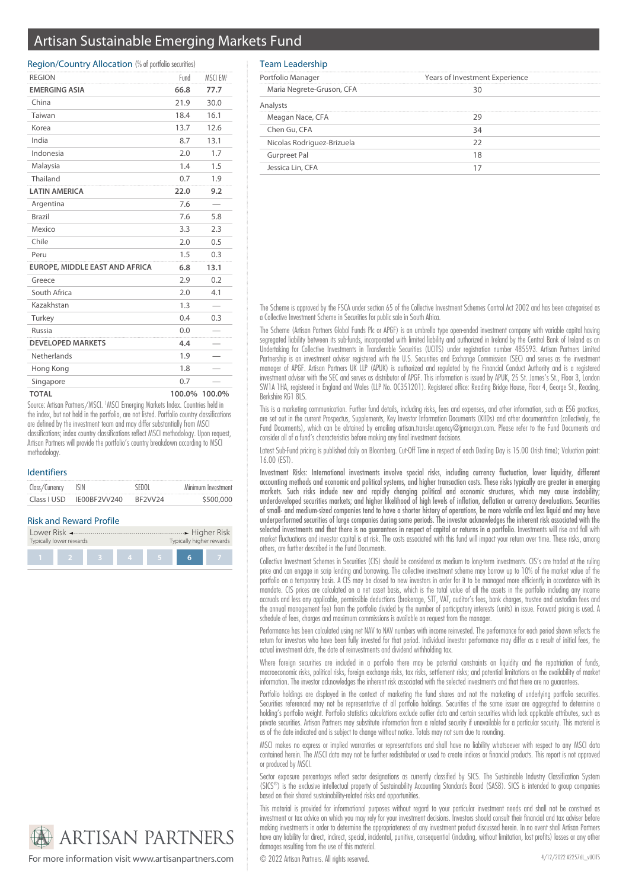## Artisan Sustainable Emerging Markets Fund

#### Region/Country Allocation (% of portfolio securities)

| <b>REGION</b>                  | Fund | MSCI EM <sup>1</sup> |
|--------------------------------|------|----------------------|
| <b>EMERGING ASIA</b>           | 66.8 | 77.7                 |
| China                          | 21.9 | 30.0                 |
| Taiwan                         | 18.4 | 16.1                 |
| Korea                          | 13.7 | 12.6                 |
| India                          | 8.7  | 13.1                 |
| Indonesia                      | 2.0  | 1.7                  |
| Malaysia                       | 1.4  | 1.5                  |
| Thailand                       | 0.7  | 1.9                  |
| <b>LATIN AMERICA</b>           | 22.0 | 9.2                  |
| Argentina                      | 7.6  |                      |
| Brazil                         | 7.6  | 5.8                  |
| Mexico                         | 3.3  | 2.3                  |
| Chile                          | 2.0  | 0.5                  |
| Peru                           | 1.5  | 0.3                  |
| EUROPE, MIDDLE EAST AND AFRICA | 6.8  | 13.1                 |
| Greece                         | 2.9  | 0.2                  |
| South Africa                   | 2.0  | 4.1                  |
| Kazakhstan                     | 1.3  |                      |
| Turkey                         | 0.4  | 0.3                  |
| Russia                         | 0.0  |                      |
| <b>DEVELOPED MARKETS</b>       | 4.4  |                      |
| Netherlands                    | 1.9  |                      |
| Hong Kong                      | 1.8  |                      |
| Singapore                      | 0.7  |                      |
| <b>TOTAL</b>                   |      | 100.0% 100.0%        |

Source: Artisan Partners/MSCI. <sup>1</sup>MSCI Emerging Markets Index. Countries held in the index, but not held in the portfolio, are not listed. Portfolio country classifications are defined by the investment team and may differ substantially from MSCI classifications; index country classifications reflect MSCI methodology. Upon request, Artisan Partners will provide the portfolio's country breakdown according to MSCI methodology.

#### Identifiers

| Class/Currency ISIN |              | SEDOI   | Minimum Investment |
|---------------------|--------------|---------|--------------------|
| Class I USD         | IE00BF2VV240 | BF2VV24 | \$500,000          |

#### Risk and Reward Profile

| Typically lower rewards |   | Typically higher rewards |  |
|-------------------------|---|--------------------------|--|
|                         | 4 |                          |  |

# **ARTISAN PARTNERS**

For more information visit www.artisanpartners.com © 2022 Artisan Partners. All rights reserved.

#### Team Leadership

| Portfolio Manager          | Years of Investment Experience |  |  |  |
|----------------------------|--------------------------------|--|--|--|
| Maria Negrete-Gruson, CFA  |                                |  |  |  |
|                            |                                |  |  |  |
| Meagan Nace, CFA           |                                |  |  |  |
| Chen Gu, CFA               |                                |  |  |  |
| Nicolas Rodriguez-Brizuela |                                |  |  |  |
| Gurpreet Pal               |                                |  |  |  |
| Jessica Lin, CFA           |                                |  |  |  |

The Scheme is approved by the FSCA under section 65 of the Collective Investment Schemes Control Act 2002 and has been categorised as a Collective Investment Scheme in Securities for public sale in South Africa.

The Scheme (Artisan Partners Global Funds Plc or APGF) is an umbrella type open-ended investment company with variable capital having segregated liability between its sub-funds, incorporated with limited liability and authorized in Ireland by the Central Bank of Ireland as an Undertaking for Collective Investments in Transferable Securities (UCITS) under registration number 485593. Artisan Partners Limited Partnership is an investment adviser registered with the U.S. Securities and Exchange Commission (SEC) and serves as the investment manager of APGF. Artisan Partners UK LLP (APUK) is authorized and regulated by the Financial Conduct Authority and is a registered investment adviser with the SEC and serves as distributor of APGF. This information is issued by APUK, 25 St. James's St., Floor 3, London SW1A 1HA, registered in England and Wales (LLP No. OC351201). Registered office: Reading Bridge House, Floor 4, George St., Reading, Berkshire RG1 8LS.

This is a marketing communication. Further fund details, including risks, fees and expenses, and other information, such as ESG practices, are set out in the current Prospectus, Supplements, Key Investor Information Documents (KIIDs) and other documentation (collectively, the Fund Documents), which can be obtained by emailing artisan.transfer.agency@jpmorgan.com. Please refer to the Fund Documents and consider all of a fund's characteristics before making any final investment decisions.

Latest Sub-Fund pricing is published daily on Bloomberg. Cut-Off Time in respect of each Dealing Day is 15.00 (Irish time); Valuation point: 16.00 (EST).

Investment Risks: International investments involve special risks, including currency fluctuation, lower liquidity, different accounting methods and economic and political systems, and higher transaction costs. These risks typically are greater in emerging markets. Such risks include new and rapidly changing political and economic structures, which may cause instability; underdeveloped securities markets; and higher likelihood of high levels of inflation, deflation or currency devaluations. Securities of small- and medium-sized companies tend to have a shorter history of operations, be more volatile and less liquid and may have underperformed securities of large companies during some periods. The investor acknowledges the inherent risk associated with the selected investments and that there is no guarantees in respect of capital or returns in a portfolio. Investments will rise and fall with market fluctuations and investor capital is at risk. The costs associated with this fund will impact your return over time. These risks, among others, are further described in the Fund Documents.

Collective Investment Schemes in Securities (CIS) should be considered as medium to long-term investments. CIS's are traded at the ruling price and can engage in scrip lending and borrowing. The collective investment scheme may borrow up to 10% of the market value of the portfolio on a temporary basis. A CIS may be closed to new investors in order for it to be managed more efficiently in accordance with its mandate. CIS prices are calculated on a net asset basis, which is the total value of all the assets in the portfolio including any income accruals and less any applicable, permissible deductions (brokerage, STT, VAT, auditor's fees, bank charges, trustee and custodian fees and the annual management fee) from the portfolio divided by the number of participatory interests (units) in issue. Forward pricing is used. A schedule of fees, charges and maximum commissions is available on request from the manager.

Performance has been calculated using net NAV to NAV numbers with income reinvested. The performance for each period shown reflects the return for investors who have been fully invested for that period. Individual investor performance may differ as a result of initial fees, the actual investment date, the date of reinvestments and dividend withholding tax.

Where foreign securities are included in a portfolio there may be potential constraints on liquidity and the repatriation of funds, macroeconomic risks, political risks, foreign exchange risks, tax risks, settlement risks; and potential limitations on the availability of market information. The investor acknowledges the inherent risk associated with the selected investments and that there are no guarantees.

Portfolio holdings are displayed in the context of marketing the fund shares and not the marketing of underlying portfolio securities. Securities referenced may not be representative of all portfolio holdings. Securities of the same issuer are aggregated to determine a holding's portfolio weight. Portfolio statistics calculations exclude outlier data and certain securities which lack applicable attributes, such as private securities. Artisan Partners may substitute information from a related security if unavailable for a particular security. This material is as of the date indicated and is subject to change without notice. Totals may not sum due to rounding.

MSCI makes no express or implied warranties or representations and shall have no liability whatsoever with respect to any MSCI data contained herein. The MSCI data may not be further redistributed or used to create indices or financial products. This report is not approved or produced by MSCI.

Sector exposure percentages reflect sector designations as currently classified by SICS. The Sustainable Industry Classification System (SICS® ) is the exclusive intellectual property of Sustainability Accounting Standards Board (SASB). SICS is intended to group companies based on their shared sustainability-related risks and opportunities.

This material is provided for informational purposes without regard to your particular investment needs and shall not be construed as investment or tax advice on which you may rely for your investment decisions. Investors should consult their financial and tax adviser before making investments in order to determine the appropriateness of any investment product discussed herein. In no event shall Artisan Partners have any liability for direct, indirect, special, incidental, punitive, consequential (including, without limitation, lost profits) losses or any other damages resulting from the use of this material.